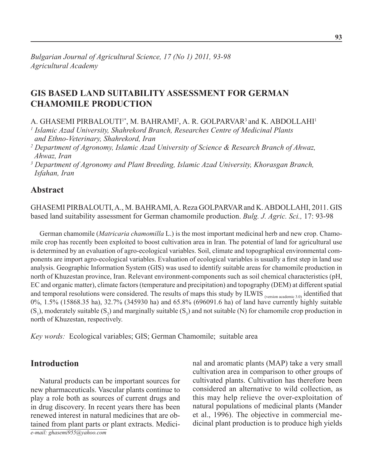# **GIS BASED LAND SUITABILITY ASSESSMENT FOR GERMAN CHAMOMILE PRODUCTION**

A. GHASEMI PIRBALOUTI<sup>1\*</sup>, M. BAHRAMI<sup>2</sup>, A. R. GOLPARVAR<sup>3</sup> and K. ABDOLLAHI<sup>1</sup>

<sup>1</sup> Islamic Azad University, Shahrekord Branch, Researches Centre of Medicinal Plants  *and Ethno-Veterinary, Shahrekord, Iran*

*2 Department of Agronomy, Islamic Azad University of Science & Research Branch of Ahwaz, Ahwaz, Iran* 

*3 Department of Agronomy and Plant Breeding, Islamic Azad University, Khorasgan Branch, Isfahan, Iran*

### **Abstract**

Ghasemi Pirbalouti, A., M. Bahrami, A. Reza Golparvarand K. Abdollahi, 2011. Gis based land suitability assessment for German chamomile production. *Bulg. J. Agric. Sci.,* 17: 93-98

German chamomile (*Matricaria chamomilla* L.) is the most important medicinal herb and new crop. Chamomile crop has recently been exploited to boost cultivation area in Iran. The potential of land for agricultural use is determined by an evaluation of agro-ecological variables. Soil, climate and topographical environmental components are import agro-ecological variables. Evaluation of ecological variables is usually a first step in land use analysis. Geographic Information System (GIS) was used to identify suitable areas for chamomile production in north of Khuzestan province, Iran. Relevant environment-components such as soil chemical characteristics (pH, EC and organic matter), climate factors (temperature and precipitation) and topography (DEM) at different spatial and temporal resolutions were considered. The results of maps this study by ILWIS (version academic 3.0) identified that 0%, 1.5% (15868.35 ha), 32.7% (345930 ha) and 65.8% (696091.6 ha) of land have currently highly suitable  $(S_1)$ , moderately suitable  $(S_2)$  and marginally suitable  $(S_3)$  and not suitable (N) for chamomile crop production in north of Khuzestan, respectively.

*Key words:* Ecological variables; GIS; German Chamomile; suitable area

### **Introduction**

*e-mail: ghasemi955@yahoo.com* Natural products can be important sources for new pharmaceuticals. Vascular plants continue to play a role both as sources of current drugs and in drug discovery. In recent years there has been renewed interest in natural medicines that are obtained from plant parts or plant extracts. Medicinal and aromatic plants (MAP) take a very small cultivation area in comparison to other groups of cultivated plants. Cultivation has therefore been considered an alternative to wild collection, as this may help relieve the over-exploitation of natural populations of medicinal plants (Mander et al., 1996). The objective in commercial medicinal plant production is to produce high yields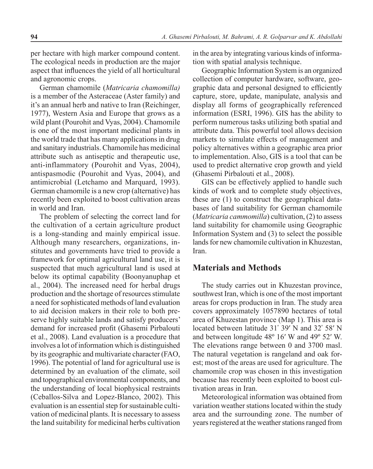per hectare with high marker compound content. The ecological needs in production are the major aspect that influences the yield of all horticultural and agronomic crops.

German chamomile (*Matricaria chamomilla)*  is a member of the Asteraceae (Aster family) and it's an annual herb and native to Iran (Reichinger, 1977), Western Asia and Europe that grows as a wild plant (Pourohit and Vyas, 2004). Chamomile is one of the most important medicinal plants in the world trade that has many applications in drug and sanitary industrials. Chamomile has medicinal attribute such as antiseptic and therapeutic use, anti-inflammatory (Pourohit and Vyas, 2004), antispasmodic (Pourohit and Vyas, 2004), and antimicrobial (Letchamo and Marquard, 1993). German chamomile is a new crop (alternative) has recently been exploited to boost cultivation areas in world and Iran.

The problem of selecting the correct land for the cultivation of a certain agriculture product is a long-standing and mainly empirical issue. Although many researchers, organizations, institutes and governments have tried to provide a framework for optimal agricultural land use, it is suspected that much agricultural land is used at below its optimal capability (Boonyanuphap et al., 2004). The increased need for herbal drugs production and the shortage of resources stimulate a need for sophisticated methods of land evaluation to aid decision makers in their role to both preserve highly suitable lands and satisfy producers' demand for increased profit (Ghasemi Pirbalouti et al., 2008). Land evaluation is a procedure that involves a lot of information which is distinguished by its geographic and multivariate character (FAO, 1996). The potential of land for agricultural use is determined by an evaluation of the climate, soil and topographical environmental components, and the understanding of local biophysical restraints (Ceballos-Silva and Lopez-Blanco, 2002). This evaluation is an essential step for sustainable cultivation of medicinal plants. It is necessary to assess the land suitability for medicinal herbs cultivation

in the area by integrating various kinds of information with spatial analysis technique.

Geographic Information System is an organized collection of computer hardware, software, geographic data and personal designed to efficiently capture, store, update, manipulate, analysis and display all forms of geographically referenced information (ESRI, 1996). GIS has the ability to perform numerous tasks utilizing both spatial and attribute data. This powerful tool allows decision markets to simulate effects of management and policy alternatives within a geographic area prior to implementation. Also, GIS is a tool that can be used to predict alternative crop growth and yield (Ghasemi Pirbalouti et al., 2008).

GIS can be effectively applied to handle such kinds of work and to complete study objectives, these are (1) to construct the geographical databases of land suitability for German chamomile (*Matricaria cammomilla*) cultivation, (2) to assess land suitability for chamomile using Geographic Information System and (3) to select the possible lands for new chamomile cultivation in Khuzestan, Iran.

### **Materials and Methods**

The study carries out in Khuzestan province, southwest Iran, which is one of the most important areas for crops production in Iran. The study area covers approximately 1057890 hectares of total area of Khuzestan province (Map 1). This area is located between latitude 31° 39' N and 32° 58' N and between longitude 48º 16′ W and 49º 52′ W. The elevations range between 0 and 3700 masl. The natural vegetation is rangeland and oak forest; most of the areas are used for agriculture. The chamomile crop was chosen in this investigation because has recently been exploited to boost cultivation areas in Iran.

Meteorological information was obtained from variation weather stations located within the study area and the surrounding zone. The number of years registered at the weather stations ranged from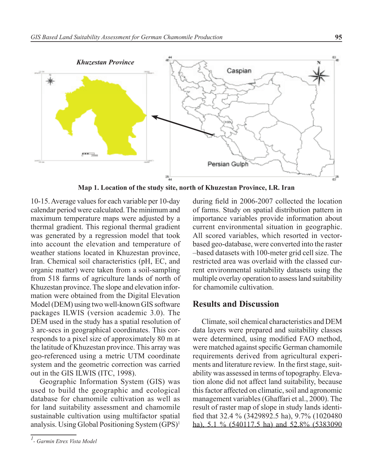

**Map 1. Location of the study site, north of Khuzestan Province, I.R. Iran**

10-15. Average values for each variable per 10-day calendar period were calculated. The minimum and maximum temperature maps were adjusted by a thermal gradient. This regional thermal gradient was generated by a regression model that took into account the elevation and temperature of weather stations located in Khuzestan province, Iran. Chemical soil characteristics (pH, EC, and organic matter) were taken from a soil-sampling from 518 farms of agriculture lands of north of Khuzestan province. The slope and elevation information were obtained from the Digital Elevation Model (DEM) using two well-known GIS software packages ILWIS (version academic 3.0). The DEM used in the study has a spatial resolution of 3 arc-secs in geographical coordinates. This corresponds to a pixel size of approximately 80 m at the latitude of Khuzestan province. This array was geo-referenced using a metric UTM coordinate system and the geometric correction was carried out in the GIS ILWIS (ITC, 1998).

Geographic Information System (GIS) was used to build the geographic and ecological database for chamomile cultivation as well as for land suitability assessment and chamomile sustainable cultivation using multifactor spatial analysis. Using Global Positioning System (GPS) 1

during field in 2006-2007 collected the location of farms. Study on spatial distribution pattern in importance variables provide information about current environmental situation in geographic. All scored variables, which resorted in vectorbased geo-database, were converted into the raster –based datasets with 100-meter grid cell size. The restricted area was overlaid with the classed current environmental suitability datasets using the multiple overlay operation to assess land suitability for chamomile cultivation.

## **Results and Discussion**

Climate, soil chemical characteristics and DEM data layers were prepared and suitability classes were determined, using modified FAO method, were matched against specific German chamomile requirements derived from agricultural experiments and literature review. In the first stage, suitability was assessed in terms of topography. Elevation alone did not affect land suitability, because this factor affected on climatic, soil and agronomic management variables (Ghaffari et al., 2000). The result of raster map of slope in study lands identified that 32.4 % (3429892.5 ha), 9.7% (1020480 ha), 5.1 % (540117.5 ha) and 52.8% (5383090

*<sup>1</sup> - Garmin Etrex Vista Model*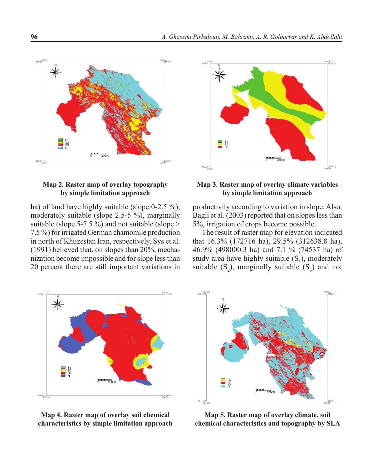

#### **Map 2. Raster map of overlay topography by simple limitation approach**

ha) of land have highly suitable (slope 0-2.5 %), moderately suitable (slope 2.5-5 %), marginally suitable (slope 5-7.5 %) and not suitable (slope  $>$ 7.5 %) for irrigated German chamomile production in north of Khuzestan Iran, respectively. Sys et al. (1991) believed that, on slopes than 20%, mechanization become impossible and for slope less than 20 percent there are still important variations in



#### **Map 3. Raster map of overlay climate variables by simple limitation approach**

productivity according to variation in slope. Also, Bagli et al. (2003) reported that on slopes less than 5%, irrigation of crops become possible.

The result of raster map for elevation indicated that 16.3% (172716 ha), 29.5% (312638.8 ha), 46.9% (498000.3 ha) and 7.1 % (74537 ha) of study area have highly suitable  $(S_1)$ , moderately suitable  $(S_2)$ , marginally suitable  $(S_3)$  and not



**Map 4. Raster map of overlay soil chemical characteristics by simple limitation approach**



**Map 5. Raster map of overlay climate, soil chemical characteristics and topography by SLA**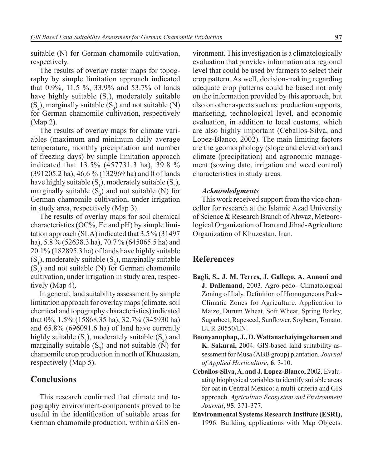suitable (N) for German chamomile cultivation, respectively.

The results of overlay raster maps for topography by simple limitation approach indicated that 0.9%, 11.5 %, 33.9% and 53.7% of lands have highly suitable  $(S_1)$ , moderately suitable  $(S_2)$ , marginally suitable  $(S_3)$  and not suitable  $(N)$ for German chamomile cultivation, respectively (Map 2).

The results of overlay maps for climate variables (maximum and minimum daily average temperature, monthly precipitation and number of freezing days) by simple limitation approach indicated that 13.5% (457731.3 ha), 39.8 % (391205.2 ha), 46.6 % (132969 ha) and 0 of lands have highly suitable  $(S_1)$ , moderately suitable  $(S_2)$ , marginally suitable  $(S_3)$  and not suitable (N) for German chamomile cultivation, under irrigation in study area, respectively (Map 3).

The results of overlay maps for soil chemical characteristics (OC%, Ec and pH) by simple limitation approach (SLA) indicated that 3.5 % (31497 ha), 5.8 % (52638.3 ha), 70.7 % (645065.5 ha) and 20.1% (182895.3 ha) of lands have highly suitable  $(S_1)$ , moderately suitable  $(S_2)$ , marginally suitable  $(S_3)$  and not suitable (N) for German chamomile cultivation, under irrigation in study area, respectively (Map 4).

In general, land suitability assessment by simple limitation approach for overlay maps (climate, soil chemical and topography characteristics) indicated that 0%, 1.5% (15868.35 ha), 32.7% (345930 ha) and 65.8% (696091.6 ha) of land have currently highly suitable  $(S_1)$ , moderately suitable  $(S_2)$  and marginally suitable  $(S_3)$  and not suitable (N) for chamomile crop production in north of Khuzestan, respectively (Map 5).

## **Conclusions**

This research confirmed that climate and topography environment-components proved to be useful in the identification of suitable areas for German chamomile production, within a GIS environment. This investigation is a climatologically evaluation that provides information at a regional level that could be used by farmers to select their crop pattern. As well, decision-making regarding adequate crop patterns could be based not only on the information provided by this approach, but also on other aspects such as: production supports, marketing, technological level, and economic evaluation, in addition to local customs, which are also highly important (Ceballos-Silva, and Lopez-Blanco, 2002). The main limiting factors are the geomorphology (slope and elevation) and climate (precipitation) and agronomic management (sowing date, irrigation and weed control) characteristics in study areas.

#### *Acknowledgments*

This work received support from the vice chancellor for research at the Islamic Azad University of Science & Research Branch of Ahwaz, Meteorological Organization of Iran and Jihad-Agriculture Organization of Khuzestan, Iran.

### **References**

- **Bagli, S., J. M. Terres, J. Gallego, A. Annoni and J. Dallemand,** 2003. Agro-pedo- Climatological Zoning of Italy. Definition of Homogeneous Pedo-Climatic Zones for Agriculture. Application to Maize, Durum Wheat, Soft Wheat, Spring Barley, Sugarbeet, Rapeseed, Sunflower, Soybean, Tomato. EUR 20550/EN.
- **Boonyanuphap, J., D. Wattanachaiyingcharoen and K. Sakurai,** 2004. GIS-based land suitability assessment for Musa (ABB group) plantation. *Journal of Applied Horticulture*, **6**: 3-10.
- **Ceballos-Silva, A, and J. Lopez-Blanco,** 2002. Evaluating biophysical variables to identify suitable areas for oat in Central Mexico: a multi-criteria and GIS approach. *Agriculture Ecosystem and Environment Journal*, **95**: 371-377.
- **Environmental Systems Research Institute (ESRI),** 1996. Building applications with Map Objects.